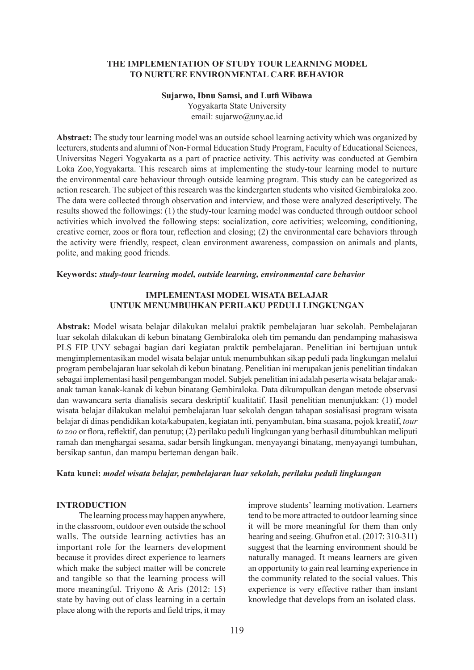## **THE IMPLEMENTATION OF STUDY TOUR LEARNING MODEL TO NURTURE ENVIRONMENTAL CARE BEHAVIOR**

# **Sujarwo, Ibnu Samsi, and Lutfi Wibawa**

Yogyakarta State University email: sujarwo@uny.ac.id

**Abstract:** The study tour learning model was an outside school learning activity which was organized by lecturers, students and alumni of Non-Formal Education Study Program, Faculty of Educational Sciences, Universitas Negeri Yogyakarta as a part of practice activity. This activity was conducted at Gembira Loka Zoo,Yogyakarta. This research aims at implementing the study-tour learning model to nurture the environmental care behaviour through outside learning program. This study can be categorized as action research. The subject of this research was the kindergarten students who visited Gembiraloka zoo. The data were collected through observation and interview, and those were analyzed descriptively. The results showed the followings: (1) the study-tour learning model was conducted through outdoor school activities which involved the following steps: socialization, core activities; welcoming, conditioning, creative corner, zoos or flora tour, reflection and closing; (2) the environmental care behaviors through the activity were friendly, respect, clean environment awareness, compassion on animals and plants, polite, and making good friends.

#### **Keywords:** *study-tour learning model, outside learning, environmental care behavior*

# **IMPLEMENTASI MODEL WISATA BELAJAR UNTUK MENUMBUHKAN PERILAKU PEDULI LINGKUNGAN**

**Abstrak:** Model wisata belajar dilakukan melalui praktik pembelajaran luar sekolah. Pembelajaran luar sekolah dilakukan di kebun binatang Gembiraloka oleh tim pemandu dan pendamping mahasiswa PLS FIP UNY sebagai bagian dari kegiatan praktik pembelajaran. Penelitian ini bertujuan untuk mengimplementasikan model wisata belajar untuk menumbuhkan sikap peduli pada lingkungan melalui program pembelajaran luar sekolah di kebun binatang. Penelitian ini merupakan jenis penelitian tindakan sebagai implementasi hasil pengembangan model. Subjek penelitian ini adalah peserta wisata belajar anakanak taman kanak-kanak di kebun binatang Gembiraloka. Data dikumpulkan dengan metode observasi dan wawancara serta dianalisis secara deskriptif kualitatif. Hasil penelitian menunjukkan: (1) model wisata belajar dilakukan melalui pembelajaran luar sekolah dengan tahapan sosialisasi program wisata belajar di dinas pendidikan kota/kabupaten, kegiatan inti, penyambutan, bina suasana, pojok kreatif, *tour to zoo* or flora, reflektif, dan penutup; (2) perilaku peduli lingkungan yang berhasil ditumbuhkan meliputi ramah dan menghargai sesama, sadar bersih lingkungan, menyayangi binatang, menyayangi tumbuhan, bersikap santun, dan mampu berteman dengan baik.

## **Kata kunci:** *model wisata belajar, pembelajaran luar sekolah, perilaku peduli lingkungan*

# **INTRODUCTION**

The learning process may happen anywhere, in the classroom, outdoor even outside the school walls. The outside learning activties has an important role for the learners development because it provides direct experience to learners which make the subject matter will be concrete and tangible so that the learning process will more meaningful. Triyono & Aris (2012: 15) state by having out of class learning in a certain place along with the reports and field trips, it may improve students' learning motivation. Learners tend to be more attracted to outdoor learning since it will be more meaningful for them than only hearing and seeing. Ghufron et al. (2017: 310-311) suggest that the learning environment should be naturally managed. It means learners are given an opportunity to gain real learning experience in the community related to the social values. This experience is very effective rather than instant knowledge that develops from an isolated class.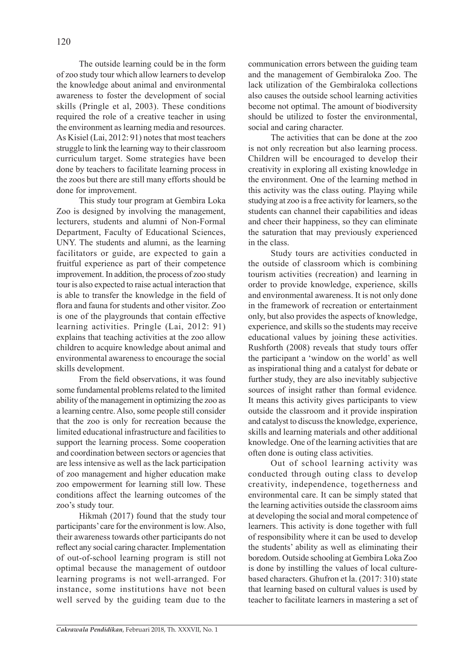The outside learning could be in the form of zoo study tour which allow learners to develop the knowledge about animal and environmental awareness to foster the development of social skills (Pringle et al, 2003). These conditions required the role of a creative teacher in using the environment as learning media and resources. As Kisiel (Lai, 2012: 91) notes that most teachers struggle to link the learning way to their classroom curriculum target. Some strategies have been done by teachers to facilitate learning process in the zoos but there are still many efforts should be done for improvement.

This study tour program at Gembira Loka Zoo is designed by involving the management, lecturers, students and alumni of Non-Formal Department, Faculty of Educational Sciences, UNY. The students and alumni, as the learning facilitators or guide, are expected to gain a fruitful experience as part of their competence improvement. In addition, the process of zoo study tour is also expected to raise actual interaction that is able to transfer the knowledge in the field of flora and fauna for students and other visitor. Zoo is one of the playgrounds that contain effective learning activities. Pringle (Lai, 2012: 91) explains that teaching activities at the zoo allow children to acquire knowledge about animal and environmental awareness to encourage the social skills development.

From the field observations, it was found some fundamental problems related to the limited ability of the management in optimizing the zoo as a learning centre. Also, some people still consider that the zoo is only for recreation because the limited educational infrastructure and facilities to support the learning process. Some cooperation and coordination between sectors or agencies that are less intensive as well as the lack participation of zoo management and higher education make zoo empowerment for learning still low. These conditions affect the learning outcomes of the zoo's study tour.

Hikmah (2017) found that the study tour participants' care for the environment is low. Also, their awareness towards other participants do not reflect any social caring character. Implementation of out-of-school learning program is still not optimal because the management of outdoor learning programs is not well-arranged. For instance, some institutions have not been well served by the guiding team due to the communication errors between the guiding team and the management of Gembiraloka Zoo. The lack utilization of the Gembiraloka collections also causes the outside school learning activities become not optimal. The amount of biodiversity should be utilized to foster the environmental, social and caring character.

The activities that can be done at the zoo is not only recreation but also learning process. Children will be encouraged to develop their creativity in exploring all existing knowledge in the environment. One of the learning method in this activity was the class outing. Playing while studying at zoo is a free activity for learners, so the students can channel their capabilities and ideas and cheer their happiness, so they can eliminate the saturation that may previously experienced in the class.

Study tours are activities conducted in the outside of classroom which is combining tourism activities (recreation) and learning in order to provide knowledge, experience, skills and environmental awareness. It is not only done in the framework of recreation or entertainment only, but also provides the aspects of knowledge, experience, and skills so the students may receive educational values by joining these activities. Rushforth (2008) reveals that study tours offer the participant a 'window on the world' as well as inspirational thing and a catalyst for debate or further study, they are also inevitably subjective sources of insight rather than formal evidence*.*  It means this activity gives participants to view outside the classroom and it provide inspiration and catalyst to discuss the knowledge, experience, skills and learning materials and other additional knowledge. One of the learning activities that are often done is outing class activities.

Out of school learning activity was conducted through outing class to develop creativity, independence, togetherness and environmental care. It can be simply stated that the learning activities outside the classroom aims at developing the social and moral competence of learners. This activity is done together with full of responsibility where it can be used to develop the students' ability as well as eliminating their boredom. Outside schooling at Gembira Loka Zoo is done by instilling the values of local culturebased characters. Ghufron et la. (2017: 310) state that learning based on cultural values is used by teacher to facilitate learners in mastering a set of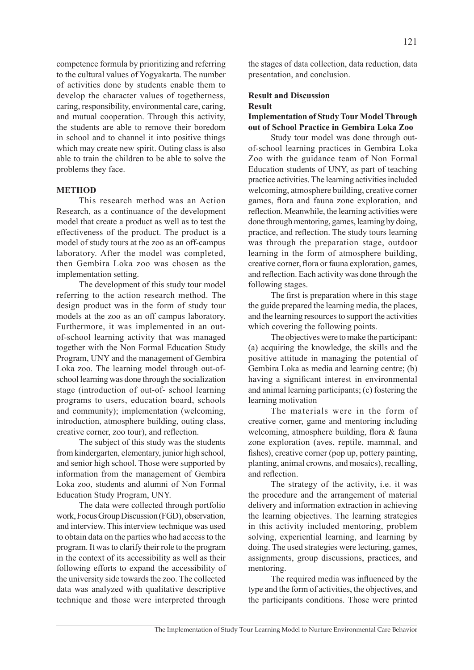competence formula by prioritizing and referring to the cultural values of Yogyakarta. The number of activities done by students enable them to develop the character values of togetherness, caring, responsibility, environmental care, caring, and mutual cooperation. Through this activity, the students are able to remove their boredom in school and to channel it into positive things which may create new spirit. Outing class is also able to train the children to be able to solve the problems they face.

#### **METHOD**

This research method was an Action Research, as a continuance of the development model that create a product as well as to test the effectiveness of the product. The product is a model of study tours at the zoo as an off-campus laboratory. After the model was completed, then Gembira Loka zoo was chosen as the implementation setting.

The development of this study tour model referring to the action research method. The design product was in the form of study tour models at the zoo as an off campus laboratory. Furthermore, it was implemented in an outof-school learning activity that was managed together with the Non Formal Education Study Program, UNY and the management of Gembira Loka zoo. The learning model through out-ofschool learning was done through the socialization stage (introduction of out-of- school learning programs to users, education board, schools and community); implementation (welcoming, introduction, atmosphere building, outing class, creative corner, zoo tour), and reflection.

The subject of this study was the students from kindergarten, elementary, junior high school, and senior high school. Those were supported by information from the management of Gembira Loka zoo, students and alumni of Non Formal Education Study Program, UNY.

The data were collected through portfolio work, Focus Group Discussion (FGD), observation, and interview. This interview technique was used to obtain data on the parties who had access to the program. It was to clarify their role to the program in the context of its accessibility as well as their following efforts to expand the accessibility of the university side towards the zoo. The collected data was analyzed with qualitative descriptive technique and those were interpreted through the stages of data collection, data reduction, data presentation, and conclusion.

# **Result and Discussion Result**

# **Implementation of Study Tour Model Through out of School Practice in Gembira Loka Zoo**

Study tour model was done through outof-school learning practices in Gembira Loka Zoo with the guidance team of Non Formal Education students of UNY, as part of teaching practice activities. The learning activities included welcoming, atmosphere building, creative corner games, flora and fauna zone exploration, and reflection. Meanwhile, the learning activities were done through mentoring, games, learning by doing, practice, and reflection. The study tours learning was through the preparation stage, outdoor learning in the form of atmosphere building, creative corner, flora or fauna exploration, games, and reflection. Each activity was done through the following stages.

The first is preparation where in this stage the guide prepared the learning media, the places, and the learning resources to support the activities which covering the following points.

The objectives were to make the participant: (a) acquiring the knowledge, the skills and the positive attitude in managing the potential of Gembira Loka as media and learning centre; (b) having a significant interest in environmental and animal learning participants; (c) fostering the learning motivation

The materials were in the form of creative corner, game and mentoring including welcoming, atmosphere building, flora & fauna zone exploration (aves, reptile, mammal, and fishes), creative corner (pop up, pottery painting, planting, animal crowns, and mosaics), recalling, and reflection.

The strategy of the activity, i.e. it was the procedure and the arrangement of material delivery and information extraction in achieving the learning objectives. The learning strategies in this activity included mentoring, problem solving, experiential learning, and learning by doing. The used strategies were lecturing, games, assignments, group discussions, practices, and mentoring.

The required media was influenced by the type and the form of activities, the objectives, and the participants conditions. Those were printed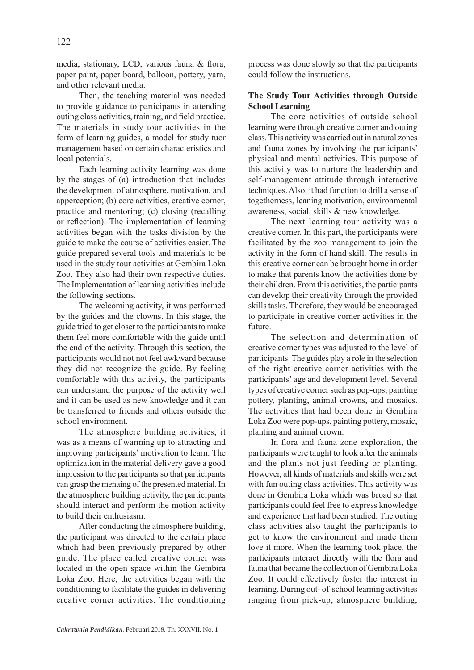media, stationary, LCD, various fauna & flora, paper paint, paper board, balloon, pottery, yarn, and other relevant media.

Then, the teaching material was needed to provide guidance to participants in attending outing class activities, training, and field practice. The materials in study tour activities in the form of learning guides, a model for study tuor management based on certain characteristics and local potentials.

Each learning activity learning was done by the stages of (a) introduction that includes the development of atmosphere, motivation, and apperception; (b) core activities, creative corner, practice and mentoring; (c) closing (recalling or reflection). The implementation of learning activities began with the tasks division by the guide to make the course of activities easier. The guide prepared several tools and materials to be used in the study tour activities at Gembira Loka Zoo. They also had their own respective duties. The Implementation of learning activities include the following sections.

The welcoming activity, it was performed by the guides and the clowns. In this stage, the guide tried to get closer to the participants to make them feel more comfortable with the guide until the end of the activity. Through this section, the participants would not not feel awkward because they did not recognize the guide. By feeling comfortable with this activity, the participants can understand the purpose of the activity well and it can be used as new knowledge and it can be transferred to friends and others outside the school environment.

The atmosphere building activities, it was as a means of warming up to attracting and improving participants' motivation to learn. The optimization in the material delivery gave a good impression to the participants so that participants can grasp the menaing of the presented material. In the atmosphere building activity, the participants should interact and perform the motion activity to build their enthusiasm.

After conducting the atmosphere building, the participant was directed to the certain place which had been previously prepared by other guide. The place called creative corner was located in the open space within the Gembira Loka Zoo. Here, the activities began with the conditioning to facilitate the guides in delivering creative corner activities. The conditioning process was done slowly so that the participants could follow the instructions.

# **The Study Tour Activities through Outside School Learning**

The core activities of outside school learning were through creative corner and outing class. This activity was carried out in natural zones and fauna zones by involving the participants' physical and mental activities. This purpose of this activity was to nurture the leadership and self-management attitude through interactive techniques. Also, it had function to drill a sense of togetherness, leaning motivation, environmental awareness, social, skills & new knowledge.

The next learning tour activity was a creative corner. In this part, the participants were facilitated by the zoo management to join the activity in the form of hand skill. The results in this creative corner can be brought home in order to make that parents know the activities done by their children. From this activities, the participants can develop their creativity through the provided skills tasks. Therefore, they would be encouraged to participate in creative corner activities in the future.

The selection and determination of creative corner types was adjusted to the level of participants. The guides play a role in the selection of the right creative corner activities with the participants' age and development level. Several types of creative corner such as pop-ups, painting pottery, planting, animal crowns, and mosaics. The activities that had been done in Gembira Loka Zoo were pop-ups, painting pottery, mosaic, planting and animal crown.

In flora and fauna zone exploration, the participants were taught to look after the animals and the plants not just feeding or planting. However, all kinds of materials and skills were set with fun outing class activities. This activity was done in Gembira Loka which was broad so that participants could feel free to express knowledge and experience that had been studied. The outing class activities also taught the participants to get to know the environment and made them love it more. When the learning took place, the participants interact directly with the flora and fauna that became the collection of Gembira Loka Zoo. It could effectively foster the interest in learning. During out- of-school learning activities ranging from pick-up, atmosphere building,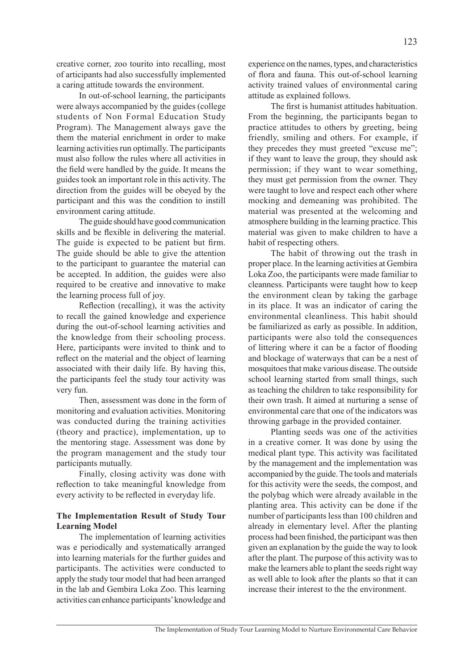creative corner, zoo tourito into recalling, most of articipants had also successfully implemented a caring attitude towards the environment.

In out-of-school learning, the participants were always accompanied by the guides (college students of Non Formal Education Study Program). The Management always gave the them the material enrichment in order to make learning activities run optimally. The participants must also follow the rules where all activities in the field were handled by the guide. It means the guides took an important role in this activity. The direction from the guides will be obeyed by the participant and this was the condition to instill environment caring attitude.

The guide should have good communication skills and be flexible in delivering the material. The guide is expected to be patient but firm. The guide should be able to give the attention to the participant to guarantee the material can be accepted. In addition, the guides were also required to be creative and innovative to make the learning process full of joy.

Reflection (recalling), it was the activity to recall the gained knowledge and experience during the out-of-school learning activities and the knowledge from their schooling process. Here, participants were invited to think and to reflect on the material and the object of learning associated with their daily life. By having this, the participants feel the study tour activity was very fun.

Then, assessment was done in the form of monitoring and evaluation activities. Monitoring was conducted during the training activities (theory and practice), implementation, up to the mentoring stage. Assessment was done by the program management and the study tour participants mutually.

Finally, closing activity was done with reflection to take meaningful knowledge from every activity to be reflected in everyday life.

# **The Implementation Result of Study Tour Learning Model**

The implementation of learning activities was e periodically and systematically arranged into learning materials for the further guides and participants. The activities were conducted to apply the study tour model that had been arranged in the lab and Gembira Loka Zoo. This learning activities can enhance participants' knowledge and experience on the names, types, and characteristics of flora and fauna. This out-of-school learning activity trained values of environmental caring attitude as explained follows.

The first is humanist attitudes habituation. From the beginning, the participants began to practice attitudes to others by greeting, being friendly, smiling and others. For example, if they precedes they must greeted "excuse me"; if they want to leave the group, they should ask permission; if they want to wear something, they must get permission from the owner. They were taught to love and respect each other where mocking and demeaning was prohibited. The material was presented at the welcoming and atmosphere building in the learning practice. This material was given to make children to have a habit of respecting others.

The habit of throwing out the trash in proper place. In the learning activities at Gembira Loka Zoo, the participants were made familiar to cleanness. Participants were taught how to keep the environment clean by taking the garbage in its place. It was an indicator of caring the environmental cleanliness. This habit should be familiarized as early as possible. In addition, participants were also told the consequences of littering where it can be a factor of flooding and blockage of waterways that can be a nest of mosquitoes that make various disease. The outside school learning started from small things, such as teaching the children to take responsibility for their own trash. It aimed at nurturing a sense of environmental care that one of the indicators was throwing garbage in the provided container.

Planting seeds was one of the activities in a creative corner. It was done by using the medical plant type. This activity was facilitated by the management and the implementation was accompanied by the guide. The tools and materials for this activity were the seeds, the compost, and the polybag which were already available in the planting area. This activity can be done if the number of participants less than 100 children and already in elementary level. After the planting process had been finished, the participant was then given an explanation by the guide the way to look after the plant. The purpose of this activity was to make the learners able to plant the seeds right way as well able to look after the plants so that it can increase their interest to the the environment.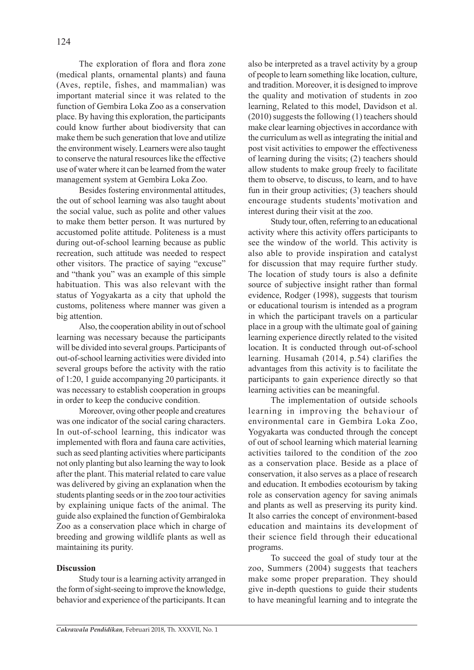The exploration of flora and flora zone (medical plants, ornamental plants) and fauna (Aves, reptile, fishes, and mammalian) was important material since it was related to the function of Gembira Loka Zoo as a conservation place. By having this exploration, the participants could know further about biodiversity that can make them be such generation that love and utilize the environment wisely. Learners were also taught to conserve the natural resources like the effective use of water where it can be learned from the water management system at Gembira Loka Zoo.

Besides fostering environmental attitudes, the out of school learning was also taught about the social value, such as polite and other values to make them better person. It was nurtured by accustomed polite attitude. Politeness is a must during out-of-school learning because as public recreation, such attitude was needed to respect other visitors. The practice of saying "excuse" and "thank you" was an example of this simple habituation. This was also relevant with the status of Yogyakarta as a city that uphold the customs, politeness where manner was given a big attention.

Also, the cooperation ability in out of school learning was necessary because the participants will be divided into several groups. Participants of out-of-school learning activities were divided into several groups before the activity with the ratio of 1:20, 1 guide accompanying 20 participants. it was necessary to establish cooperation in groups in order to keep the conducive condition.

Moreover, oving other people and creatures was one indicator of the social caring characters. In out-of-school learning, this indicator was implemented with flora and fauna care activities, such as seed planting activities where participants not only planting but also learning the way to look after the plant. This material related to care value was delivered by giving an explanation when the students planting seeds or in the zoo tour activities by explaining unique facts of the animal. The guide also explained the function of Gembiraloka Zoo as a conservation place which in charge of breeding and growing wildlife plants as well as maintaining its purity.

#### **Discussion**

Study tour is a learning activity arranged in the form of sight-seeing to improve the knowledge, behavior and experience of the participants. It can also be interpreted as a travel activity by a group of people to learn something like location, culture, and tradition. Moreover, it is designed to improve the quality and motivation of students in zoo learning, Related to this model, Davidson et al. (2010) suggests the following (1) teachers should make clear learning objectives in accordance with the curriculum as well as integrating the initial and post visit activities to empower the effectiveness of learning during the visits; (2) teachers should allow students to make group freely to facilitate them to observe, to discuss, to learn, and to have fun in their group activities; (3) teachers should encourage students students'motivation and interest during their visit at the zoo.

Study tour, often, referring to an educational activity where this activity offers participants to see the window of the world. This activity is also able to provide inspiration and catalyst for discussion that may require further study. The location of study tours is also a definite source of subjective insight rather than formal evidence, Rodger (1998), suggests that tourism or educational tourism is intended as a program in which the participant travels on a particular place in a group with the ultimate goal of gaining learning experience directly related to the visited location. It is conducted through out-of-school learning. Husamah (2014, p.54) clarifies the advantages from this activity is to facilitate the participants to gain experience directly so that learning activities can be meaningful.

The implementation of outside schools learning in improving the behaviour of environmental care in Gembira Loka Zoo, Yogyakarta was conducted through the concept of out of school learning which material learning activities tailored to the condition of the zoo as a conservation place. Beside as a place of conservation, it also serves as a place of research and education. It embodies ecotourism by taking role as conservation agency for saving animals and plants as well as preserving its purity kind. It also carries the concept of environment-based education and maintains its development of their science field through their educational programs.

To succeed the goal of study tour at the zoo, Summers (2004) suggests that teachers make some proper preparation. They should give in-depth questions to guide their students to have meaningful learning and to integrate the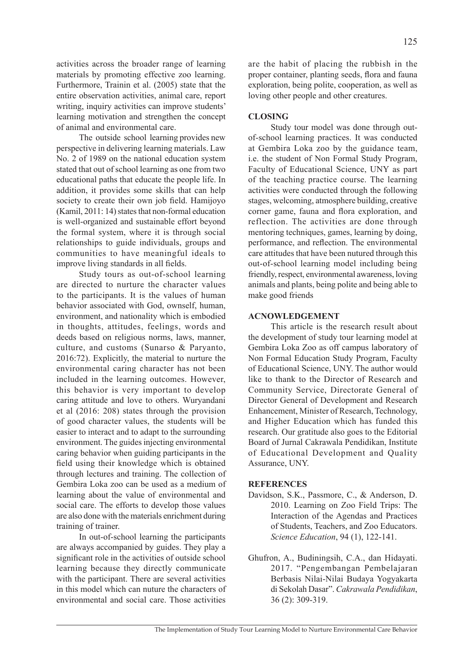activities across the broader range of learning materials by promoting effective zoo learning. Furthermore, Trainin et al. (2005) state that the entire observation activities, animal care, report writing, inquiry activities can improve students' learning motivation and strengthen the concept of animal and environmental care.

The outside school learning provides new perspective in delivering learning materials. Law No. 2 of 1989 on the national education system stated that out of school learning as one from two educational paths that educate the people life. In addition, it provides some skills that can help society to create their own job field. Hamijoyo (Kamil, 2011: 14) states that non-formal education is well-organized and sustainable effort beyond the formal system, where it is through social relationships to guide individuals, groups and communities to have meaningful ideals to improve living standards in all fields.

Study tours as out-of-school learning are directed to nurture the character values to the participants. It is the values of human behavior associated with God, ownself, human, environment, and nationality which is embodied in thoughts, attitudes, feelings, words and deeds based on religious norms, laws, manner, culture, and customs (Sunarso & Paryanto, 2016:72). Explicitly, the material to nurture the environmental caring character has not been included in the learning outcomes. However, this behavior is very important to develop caring attitude and love to others. Wuryandani et al (2016: 208) states through the provision of good character values, the students will be easier to interact and to adapt to the surrounding environment. The guides injecting environmental caring behavior when guiding participants in the field using their knowledge which is obtained through lectures and training. The collection of Gembira Loka zoo can be used as a medium of learning about the value of environmental and social care. The efforts to develop those values are also done with the materials enrichment during training of trainer.

In out-of-school learning the participants are always accompanied by guides. They play a significant role in the activities of outside school learning because they directly communicate with the participant. There are several activities in this model which can nuture the characters of environmental and social care. Those activities

are the habit of placing the rubbish in the proper container, planting seeds, flora and fauna exploration, being polite, cooperation, as well as loving other people and other creatures.

## **CLOSING**

Study tour model was done through outof-school learning practices. It was conducted at Gembira Loka zoo by the guidance team, i.e. the student of Non Formal Study Program, Faculty of Educational Science, UNY as part of the teaching practice course. The learning activities were conducted through the following stages, welcoming, atmosphere building, creative corner game, fauna and flora exploration, and reflection. The activities are done through mentoring techniques, games, learning by doing, performance, and reflection. The environmental care attitudes that have been nutured through this out-of-school learning model including being friendly, respect, environmental awareness, loving animals and plants, being polite and being able to make good friends

#### **ACNOWLEDGEMENT**

This article is the research result about the development of study tour learning model at Gembira Loka Zoo as off campus laboratory of Non Formal Education Study Program, Faculty of Educational Science, UNY. The author would like to thank to the Director of Research and Community Service, Directorate General of Director General of Development and Research Enhancement, Minister of Research, Technology, and Higher Education which has funded this research. Our gratitude also goes to the Editorial Board of Jurnal Cakrawala Pendidikan, Institute of Educational Development and Quality Assurance, UNY.

#### **REFERENCES**

- Davidson, S.K., Passmore, C., & Anderson, D. 2010. Learning on Zoo Field Trips: The Interaction of the Agendas and Practices of Students, Teachers, and Zoo Educators. *Science Education*, 94 (1), 122-141.
- Ghufron, A., Budiningsih, C.A., dan Hidayati. 2017. "Pengembangan Pembelajaran Berbasis Nilai-Nilai Budaya Yogyakarta di Sekolah Dasar". *Cakrawala Pendidikan*, 36 (2): 309-319.